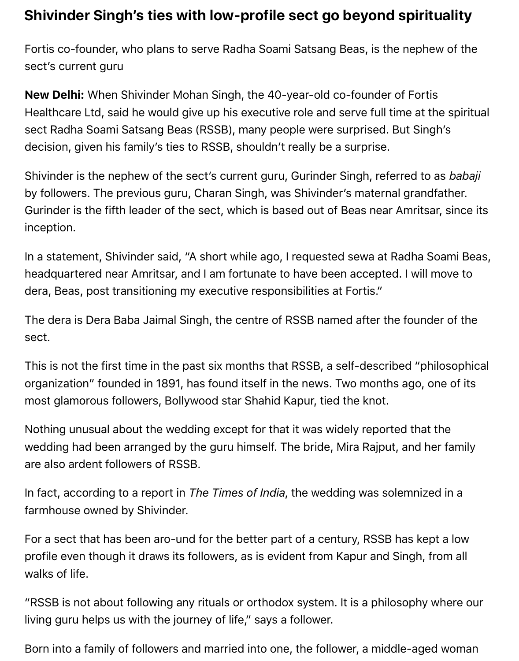## **Shivinder Singh's ties with low-profile sect go beyond spirituality**

Fortis co-founder, who plans to serve Radha Soami Satsang Beas, is the nephew of the sect's current guru

**New Delhi:** When Shivinder Mohan Singh, the 40-year-old co-founder of Fortis Healthcare Ltd, said he would give up his executive role and serve full time at the spiritual sect Radha Soami Satsang Beas (RSSB), many people were surprised. But Singh's decision, given his family's ties to RSSB, shouldn't really be a surprise.

Shivinder is the nephew of the sect's current guru, Gurinder Singh, referred to as *babaji* by followers. The previous guru, Charan Singh, was Shivinder's maternal grandfather. Gurinder is the fifth leader of the sect, which is based out of Beas near Amritsar, since its inception.

In a statement, Shivinder said, "A short while ago, I requested sewa at Radha Soami Beas, headquartered near Amritsar, and I am fortunate to have been accepted. I will move to dera, Beas, post transitioning my executive responsibilities at Fortis."

The dera is Dera Baba Jaimal Singh, the centre of RSSB named after the founder of the sect.

This is not the first time in the past six months that RSSB, a self-described "philosophical organization" founded in 1891, has found itself in the news. Two months ago, one of its most glamorous followers, Bollywood star Shahid Kapur, tied the knot.

Nothing unusual about the wedding except for that it was widely reported that the wedding had been arranged by the guru himself. The bride, Mira Rajput, and her family are also ardent followers of RSSB.

In fact, according to a report in *The Times of India*, the wedding was solemnized in a farmhouse owned by Shivinder.

For a sect that has been aro-und for the better part of a century, RSSB has kept a low profile even though it draws its followers, as is evident from Kapur and Singh, from all walks of life.

"RSSB is not about following any rituals or orthodox system. It is a philosophy where our living guru helps us with the journey of life," says a follower.

Born into a family of followers and married into one, the follower, a middle-aged woman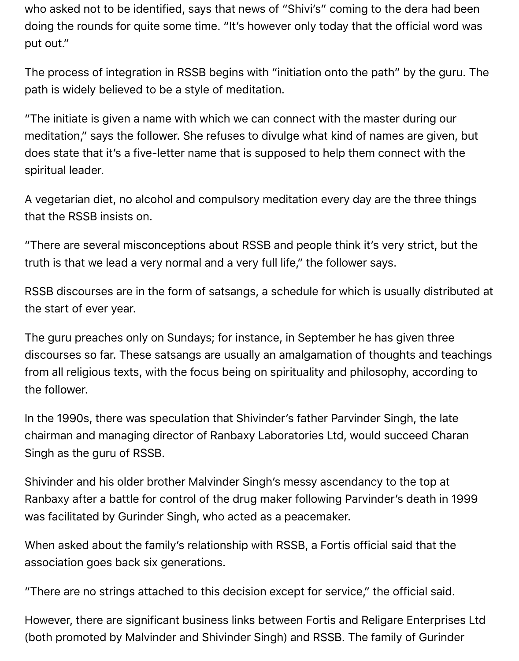who asked not to be identified, says that news of "Shivi's" coming to the dera had been doing the rounds for quite some time. "It's however only today that the official word was put out."

The process of integration in RSSB begins with "initiation onto the path" by the guru. The path is widely believed to be a style of meditation.

"The initiate is given a name with which we can connect with the master during our meditation," says the follower. She refuses to divulge what kind of names are given, but does state that it's a five-letter name that is supposed to help them connect with the spiritual leader.

A vegetarian diet, no alcohol and compulsory meditation every day are the three things that the RSSB insists on.

"There are several misconceptions about RSSB and people think it's very strict, but the truth is that we lead a very normal and a very full life," the follower says.

RSSB discourses are in the form of satsangs, a schedule for which is usually distributed at the start of ever year.

The guru preaches only on Sundays; for instance, in September he has given three discourses so far. These satsangs are usually an amalgamation of thoughts and teachings from all religious texts, with the focus being on spirituality and philosophy, according to the follower.

In the 1990s, there was speculation that Shivinder's father Parvinder Singh, the late chairman and managing director of Ranbaxy Laboratories Ltd, would succeed Charan Singh as the guru of RSSB.

Shivinder and his older brother Malvinder Singh's messy ascendancy to the top at Ranbaxy after a battle for control of the drug maker following Parvinder's death in 1999 was facilitated by Gurinder Singh, who acted as a peacemaker.

When asked about the family's relationship with RSSB, a Fortis official said that the association goes back six generations.

"There are no strings attached to this decision except for service," the official said.

However, there are significant business links between Fortis and Religare Enterprises Ltd (both promoted by Malvinder and Shivinder Singh) and RSSB. The family of Gurinder